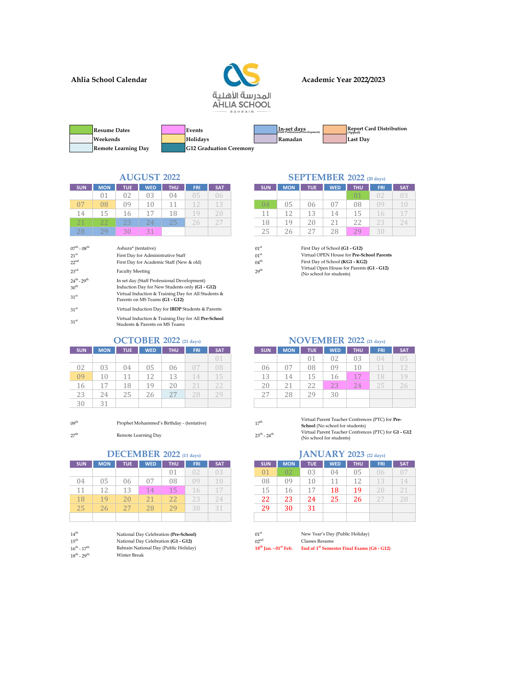**Ahlia School Calendar**



### **Academic Year 2022/2023**

| <b>Resume Dates</b>        | Events                         | In-set days<br>(Staff Professional Development) | <b>Report Card Distribution</b><br>(Appeal) |
|----------------------------|--------------------------------|-------------------------------------------------|---------------------------------------------|
| Weekends                   | <b>Holidays</b>                | Ramadan                                         | Last Dav                                    |
| <b>Remote Learning Day</b> | <b>G12 Graduation Ceremony</b> |                                                 |                                             |

# **AUGUST 2022**

| <b>SUN</b>     | <b>MON</b>          | <b>TUE</b> | <b>WED</b>     | <b>THU</b> | <b>FRI</b> | <b>SAT</b> | SUN. | <b>MON</b> | <b>TUE</b>         | <b>WED</b> | <b>THU</b> | <b>FRI</b> |
|----------------|---------------------|------------|----------------|------------|------------|------------|------|------------|--------------------|------------|------------|------------|
|                |                     |            | 03             | 04         | 05         | 06         |      |            |                    |            | 01         |            |
| 0 <sup>7</sup> | 08                  | 09         |                |            |            |            | 04   | 05         | 06                 | 07         | 08         | 9          |
| 14             |                     | 16         | $\overline{ }$ | 18         | $\neg$ Q.  |            |      |            | 13                 | 14         | 15         |            |
| 71             | $\sim$ $\sim$<br>ΖZ | 23         | $24^{\circ}$   | 25         | 20         | $\cap -$   | 18   | 19         | 20                 | ∠⊥         |            | 23         |
|                | 29                  | 30         | 21             |            |            |            | 25   | 26         | $\cap$<br><u>.</u> | 28         | 70         |            |

| $07^{\rm th}$ - $08^{\rm th}$ | Ashura* (tentative)                                                                   | $01^{\rm st}$    | First Day of School (G1 - G12)                             |
|-------------------------------|---------------------------------------------------------------------------------------|------------------|------------------------------------------------------------|
| 21 <sup>st</sup>              | First Day for Administrative Staff                                                    | 01 <sup>st</sup> | Virtual OPEN House for Pre-Sch                             |
| 22 <sup>nd</sup>              | First Day for Academic Staff (New & old)                                              | $04^{\text{th}}$ | First Day of School (KG1 - KG2)                            |
| $23^{\text{rd}}$              | <b>Faculty Meeting</b>                                                                | 29 <sup>th</sup> | Virtual Open House for Parents<br>(No school for students) |
| $24^{th} - 29^{th}$           | In set day (Staff Professional Development)                                           |                  |                                                            |
| 30 <sup>th</sup>              | Induction Day for New Students only (G1 - G12)                                        |                  |                                                            |
| 31 <sup>st</sup>              | Virtual Induction & Training Day for All Students &<br>Parents on MS Teams (G1 - G12) |                  |                                                            |
| 31 <sup>st</sup>              | Virtual Induction Day for IBDP Students & Parents                                     |                  |                                                            |
| 31 <sup>st</sup>              | Virtual Induction & Training Day for All Pre-School<br>Students & Parents on MS Teams |                  |                                                            |

| <b>SUN</b> | <b>MON</b> | <b>TUE</b> | <b>WED</b> | <b>THU</b> | <b>FRI</b> | <b>SAT</b> | <b>SUN</b> | <b>MON</b> | <b>TUE</b> | <b>WEI</b> |
|------------|------------|------------|------------|------------|------------|------------|------------|------------|------------|------------|
|            |            |            |            |            |            |            |            |            | 01         | 02         |
| 02         | 03         | 04         | 05         | 06         |            | 08         | 06         |            | 08         | 09         |
| 09         | 10         |            | 12         | 13         | 14         | 15         | 13         | 14         | 15         | 16         |
| 16         | 17         | 18         | 19         | 20         |            | 22         | 20         |            | 22         | 23         |
| 23         | 24         | 25         | 26         | つワ         |            | 29         | 27         | 28         | 29         | 30         |
| 30         | 21         |            |            |            |            |            |            |            |            |            |

09<sup>th</sup> Prophet Mohammed's Birthday - (tentative)

 $27^{\rm th}$  - 27th - 27th - 24th - 24th - 24th - 24th - 24th - 24th - 24th - 24th - 24th - 24th - 24th - 24th - 24th - 24th - 24th - 24th - 24th - 24th - 24th - 24th - 24th - 24th - 24th - 24th - 24th - 24th - 24th - 24th -

## **DECEMBER 2022 (11 days)**

| <b>SUN</b> | <b>MON</b>     | <b>TUE</b> | <b>WED</b> | <b>THU</b> | <b>FRI</b> | <b>SAT</b> | <b>SUN</b> | <b>MON</b> | <b>TUE</b> |
|------------|----------------|------------|------------|------------|------------|------------|------------|------------|------------|
|            |                |            |            | 01         |            | 03         |            | 02         | 03         |
| 04         | 05             | 06         | 07         | 08         | 09         | 10.        | 08         | 09         | 10         |
| 11         | 12             | 13         | 14         | 15         | 16         |            | 15         | 16         | 17         |
| 18         | 1 <sub>q</sub> | 20         | 21         | 22         | 23         | 24         | 22         | 23         | 24         |
| 25         | 26             | 27         | 28         | 29         | 30         | 31         | 29         | 30         | 31         |
|            |                |            |            |            |            |            |            |            |            |

| 14 <sup>th</sup>             | National Day Celebration (Pre-School) |
|------------------------------|---------------------------------------|
| $15^{th}$                    | National Day Celebration (G1 - G12)   |
| $16^{th}$ - $17^{th}$        | Bahrain National Day (Public Holiday) |
| $18^{th}$ - 29 <sup>th</sup> | Winter Break                          |

#### **2022 (20 days) SEPTEMBER**

| <b>SUN</b> | <b>MON</b> | <b>TUE</b> | <b>WED</b> | <b>THU</b> | <b>FRI</b> | <b>SAT</b> | SUN, | <b>MON</b>     | <b>TUE</b>  | <b>WED</b>                | <b>THU</b> | <b>FRI</b>       |  |
|------------|------------|------------|------------|------------|------------|------------|------|----------------|-------------|---------------------------|------------|------------------|--|
|            | 01         | UZ         | 03         | 04         | J5         | IJh        |      |                |             |                           | 01         |                  |  |
| 07         | 08         | 09         | 10         |            |            | 13         | 04   | 05             | 06          | 07                        | 08         | η9               |  |
| 14         | 15         |            |            |            | $\Omega$   |            |      | --             | 13          | 14                        | 15         |                  |  |
| 21         | 22         | つつ<br>ں ک  | 24         | 25         | 46         |            | 18   | 1 <sub>O</sub> | 20          | $\bigcap$ $\bigcap$<br>∠. | つつ<br>44   | $\cap$<br>$\sim$ |  |
|            | 79         | 20<br>. .  | $\sim$     |            |            |            | 4.1  | $\sim$         | $\cap$<br>∼ | 28                        | 20<br>4    |                  |  |

| $1^{\rm st}$    | First Day of School (G1 - G12)            |
|-----------------|-------------------------------------------|
| $1^{\rm st}$    | Virtual OPEN House for Pre-School Parents |
| $4^{\rm th}$    | First Day of School (KG1 - KG2)           |
| a <sup>th</sup> | Virtual Open House for Parents (G1 - G12) |
|                 | (No school for students)                  |

|            |            | OCTOBER 2022 $(21 \text{ days})$ |            |       |            |            | NOVEMBER 2022 (21 days) |            |      |            |            |            |                |  |
|------------|------------|----------------------------------|------------|-------|------------|------------|-------------------------|------------|------|------------|------------|------------|----------------|--|
| <b>SUN</b> | <b>MON</b> | TUE.                             | <b>WED</b> | THU ' | <b>FRI</b> | <b>SAT</b> | <b>SUN</b>              | <b>MON</b> | TUE. | <b>WED</b> | <b>THU</b> | <b>FRI</b> | <b>SAT</b>     |  |
|            |            |                                  |            |       |            | 01         |                         |            | 01   | 02         | 03         | 04         | 0 <sub>5</sub> |  |
| 02         | 03         | 04                               | 05         | 06    | 07         | 08         | 06                      | 07         | 08   | 09         | 10         |            |                |  |
| 09         | 10         |                                  | 12         | 13    | 14         | 15         | 13                      | 14         | 15   | 16         | 17         | 18         | 19             |  |
| 16         |            | 18                               | 19         | 20    | 21         | 22         | 20                      | 21         | 22   | 23         | 24         | 25         | 26             |  |
| 23         | 24         | 25                               | 26         | 27    | 28         | 29         | 27                      | 28         | 29   | 30         |            |            |                |  |
| 30         | 31         |                                  |            |       |            |            |                         |            |      |            |            |            |                |  |
|            |            |                                  |            |       |            |            |                         |            |      |            |            |            |                |  |

| 17 <sup>th</sup>      | Virtual Parent Teacher Confrences (PTC) for Pre-     |
|-----------------------|------------------------------------------------------|
|                       | <b>School</b> (No school for students)               |
| $23^{th}$ - $24^{th}$ | Virtual Parent Teacher Confrences (PTC) for G1 - G12 |
|                       | (No school for students)                             |

# **JANUARY 2023 (22 days)**

| <b>SUN</b> | <b>MON</b> | <b>TUE</b> | <b>WED</b> | <b>THU</b> | <b>FRI</b> | SAT, | <b>SUN</b> | <b>MON</b> | <b>TUE</b> | <b>WED</b> | <b>THU</b> | <b>FRI</b> | <b>SAT</b> |
|------------|------------|------------|------------|------------|------------|------|------------|------------|------------|------------|------------|------------|------------|
|            |            |            |            | 01         | UZ         | 03   | 01         | 02         | 03         | 04         | 05         | 06         |            |
| 04         | 05         | 06         | 07         | 08         | 09         |      | 08         | 09         | 10         | 11         |            | 13         | 14.        |
| 11         | 12         | 13         | 14         | 15         | 16         | 17   | 15         | 16         | 17         | 18         | 19         | ZU.        |            |
| 18         | 19         | 20         |            | 22         | 23         | 24   | 22         | 23         | 24         | 25         | 26         | £.         |            |
| 25         | 26         | 27         | 28         | 29         | 30         | 31   | 29         | 30         | 31         |            |            |            |            |
|            |            |            |            |            |            |      |            |            |            |            |            |            |            |

01<sup>st</sup> New Year's Day (Public Holiday)<br>02<sup>nd</sup> Classes Resume 15th National Day Celebration **(G1 - G12)** 02nd Classes Resume Bahrain National Day (Public Holiday) **18th Jan. - 01st Feb. End of 1st Semester Final Exams (G6 - G12)**